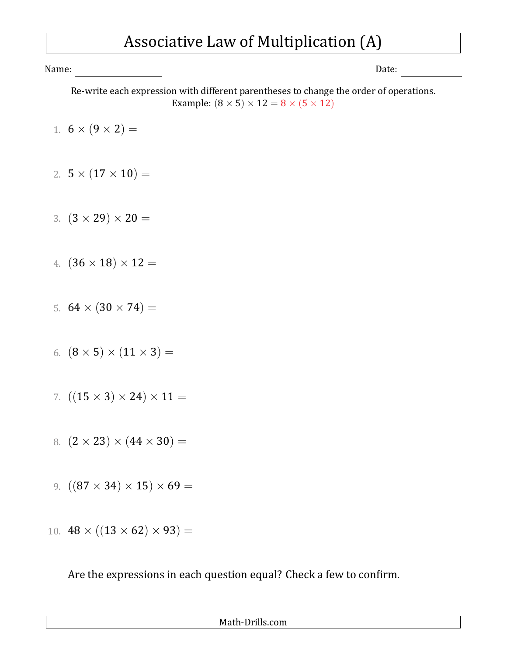## Associative Law of Multiplication (A)

Name: Date:

Re-write each expression with different parentheses to change the order of operations. Example:  $(8 \times 5) \times 12 = 8 \times (5 \times 12)$ 

- 1.  $6 \times (9 \times 2) =$
- 2.  $5 \times (17 \times 10) =$
- 3.  $(3 \times 29) \times 20 =$
- 4.  $(36 \times 18) \times 12 =$
- 5.  $64 \times (30 \times 74) =$
- 6.  $(8 \times 5) \times (11 \times 3) =$
- 7.  $((15 \times 3) \times 24) \times 11 =$
- 8.  $(2 \times 23) \times (44 \times 30) =$
- 9.  $((87 \times 34) \times 15) \times 69 =$
- 10.  $48 \times ((13 \times 62) \times 93) =$

Are the expressions in each question equal? Check a few to confirm.